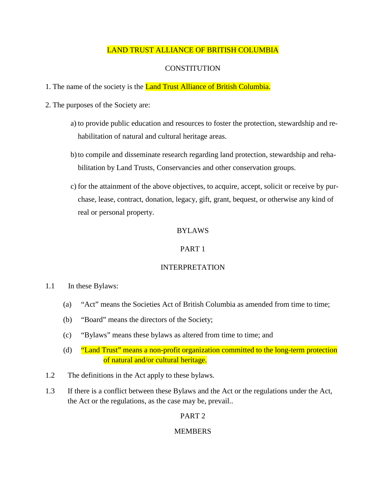## LAND TRUST ALLIANCE OF BRITISH COLUMBIA

# **CONSTITUTION**

- 1. The name of the society is the **Land Trust Alliance of British Columbia.**
- 2. The purposes of the Society are:
	- a) to provide public education and resources to foster the protection, stewardship and rehabilitation of natural and cultural heritage areas.
	- b)to compile and disseminate research regarding land protection, stewardship and rehabilitation by Land Trusts, Conservancies and other conservation groups.
	- c) for the attainment of the above objectives, to acquire, accept, solicit or receive by purchase, lease, contract, donation, legacy, gift, grant, bequest, or otherwise any kind of real or personal property.

## BYLAWS

### PART 1

## INTERPRETATION

- 1.1 In these Bylaws:
	- (a) "Act" means the Societies Act of British Columbia as amended from time to time;
	- (b) "Board" means the directors of the Society;
	- (c) "Bylaws" means these bylaws as altered from time to time; and
	- (d) "Land Trust" means a non-profit organization committed to the long-term protection of natural and/or cultural heritage.
- 1.2 The definitions in the Act apply to these bylaws.
- 1.3 If there is a conflict between these Bylaws and the Act or the regulations under the Act, the Act or the regulations, as the case may be, prevail..

## PART 2

## **MEMBERS**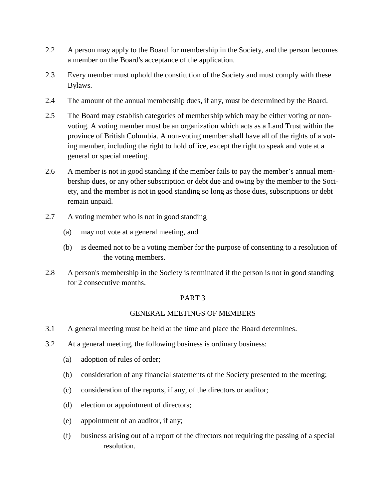- 2.2 A person may apply to the Board for membership in the Society, and the person becomes a member on the Board's acceptance of the application.
- 2.3 Every member must uphold the constitution of the Society and must comply with these Bylaws.
- 2.4 The amount of the annual membership dues, if any, must be determined by the Board.
- 2.5 The Board may establish categories of membership which may be either voting or nonvoting. A voting member must be an organization which acts as a Land Trust within the province of British Columbia. A non-voting member shall have all of the rights of a voting member, including the right to hold office, except the right to speak and vote at a general or special meeting.
- 2.6 A member is not in good standing if the member fails to pay the member's annual membership dues, or any other subscription or debt due and owing by the member to the Society, and the member is not in good standing so long as those dues, subscriptions or debt remain unpaid.
- 2.7 A voting member who is not in good standing
	- (a) may not vote at a general meeting, and
	- (b) is deemed not to be a voting member for the purpose of consenting to a resolution of the voting members.
- 2.8 A person's membership in the Society is terminated if the person is not in good standing for 2 consecutive months.

## GENERAL MEETINGS OF MEMBERS

- 3.1 A general meeting must be held at the time and place the Board determines.
- 3.2 At a general meeting, the following business is ordinary business:
	- (a) adoption of rules of order;
	- (b) consideration of any financial statements of the Society presented to the meeting;
	- (c) consideration of the reports, if any, of the directors or auditor;
	- (d) election or appointment of directors;
	- (e) appointment of an auditor, if any;
	- (f) business arising out of a report of the directors not requiring the passing of a special resolution.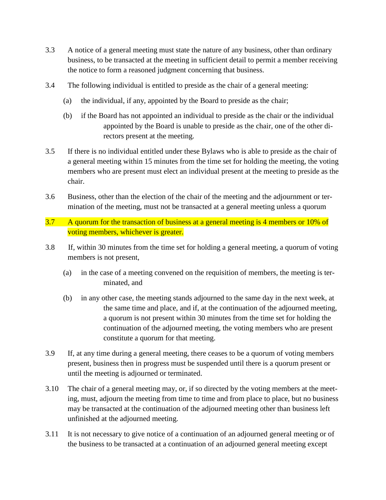- 3.3 A notice of a general meeting must state the nature of any business, other than ordinary business, to be transacted at the meeting in sufficient detail to permit a member receiving the notice to form a reasoned judgment concerning that business.
- 3.4 The following individual is entitled to preside as the chair of a general meeting:
	- (a) the individual, if any, appointed by the Board to preside as the chair;
	- (b) if the Board has not appointed an individual to preside as the chair or the individual appointed by the Board is unable to preside as the chair, one of the other directors present at the meeting.
- 3.5 If there is no individual entitled under these Bylaws who is able to preside as the chair of a general meeting within 15 minutes from the time set for holding the meeting, the voting members who are present must elect an individual present at the meeting to preside as the chair.
- 3.6 Business, other than the election of the chair of the meeting and the adjournment or termination of the meeting, must not be transacted at a general meeting unless a quorum
- 3.7 A quorum for the transaction of business at a general meeting is 4 members or 10% of voting members, whichever is greater.
- 3.8 If, within 30 minutes from the time set for holding a general meeting, a quorum of voting members is not present,
	- (a) in the case of a meeting convened on the requisition of members, the meeting is terminated, and
	- (b) in any other case, the meeting stands adjourned to the same day in the next week, at the same time and place, and if, at the continuation of the adjourned meeting, a quorum is not present within 30 minutes from the time set for holding the continuation of the adjourned meeting, the voting members who are present constitute a quorum for that meeting.
- 3.9 If, at any time during a general meeting, there ceases to be a quorum of voting members present, business then in progress must be suspended until there is a quorum present or until the meeting is adjourned or terminated.
- 3.10 The chair of a general meeting may, or, if so directed by the voting members at the meeting, must, adjourn the meeting from time to time and from place to place, but no business may be transacted at the continuation of the adjourned meeting other than business left unfinished at the adjourned meeting.
- 3.11 It is not necessary to give notice of a continuation of an adjourned general meeting or of the business to be transacted at a continuation of an adjourned general meeting except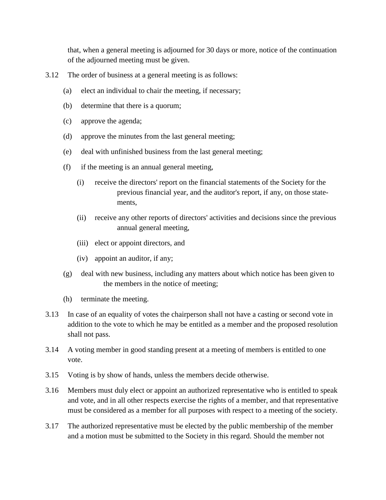that, when a general meeting is adjourned for 30 days or more, notice of the continuation of the adjourned meeting must be given.

- 3.12 The order of business at a general meeting is as follows:
	- (a) elect an individual to chair the meeting, if necessary;
	- (b) determine that there is a quorum;
	- (c) approve the agenda;
	- (d) approve the minutes from the last general meeting;
	- (e) deal with unfinished business from the last general meeting;
	- (f) if the meeting is an annual general meeting,
		- (i) receive the directors' report on the financial statements of the Society for the previous financial year, and the auditor's report, if any, on those statements,
		- (ii) receive any other reports of directors' activities and decisions since the previous annual general meeting,
		- (iii) elect or appoint directors, and
		- (iv) appoint an auditor, if any;
	- (g) deal with new business, including any matters about which notice has been given to the members in the notice of meeting;
	- (h) terminate the meeting.
- 3.13 In case of an equality of votes the chairperson shall not have a casting or second vote in addition to the vote to which he may be entitled as a member and the proposed resolution shall not pass.
- 3.14 A voting member in good standing present at a meeting of members is entitled to one vote.
- 3.15 Voting is by show of hands, unless the members decide otherwise.
- 3.16 Members must duly elect or appoint an authorized representative who is entitled to speak and vote, and in all other respects exercise the rights of a member, and that representative must be considered as a member for all purposes with respect to a meeting of the society.
- 3.17 The authorized representative must be elected by the public membership of the member and a motion must be submitted to the Society in this regard. Should the member not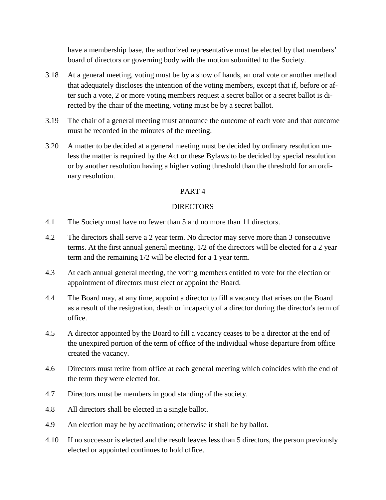have a membership base, the authorized representative must be elected by that members' board of directors or governing body with the motion submitted to the Society.

- 3.18 At a general meeting, voting must be by a show of hands, an oral vote or another method that adequately discloses the intention of the voting members, except that if, before or after such a vote, 2 or more voting members request a secret ballot or a secret ballot is directed by the chair of the meeting, voting must be by a secret ballot.
- 3.19 The chair of a general meeting must announce the outcome of each vote and that outcome must be recorded in the minutes of the meeting.
- 3.20 A matter to be decided at a general meeting must be decided by ordinary resolution unless the matter is required by the Act or these Bylaws to be decided by special resolution or by another resolution having a higher voting threshold than the threshold for an ordinary resolution.

## PART 4

### DIRECTORS

- 4.1 The Society must have no fewer than 5 and no more than 11 directors.
- 4.2 The directors shall serve a 2 year term. No director may serve more than 3 consecutive terms. At the first annual general meeting, 1/2 of the directors will be elected for a 2 year term and the remaining 1/2 will be elected for a 1 year term.
- 4.3 At each annual general meeting, the voting members entitled to vote for the election or appointment of directors must elect or appoint the Board.
- 4.4 The Board may, at any time, appoint a director to fill a vacancy that arises on the Board as a result of the resignation, death or incapacity of a director during the director's term of office.
- 4.5 A director appointed by the Board to fill a vacancy ceases to be a director at the end of the unexpired portion of the term of office of the individual whose departure from office created the vacancy.
- 4.6 Directors must retire from office at each general meeting which coincides with the end of the term they were elected for.
- 4.7 Directors must be members in good standing of the society.
- 4.8 All directors shall be elected in a single ballot.
- 4.9 An election may be by acclimation; otherwise it shall be by ballot.
- 4.10 If no successor is elected and the result leaves less than 5 directors, the person previously elected or appointed continues to hold office.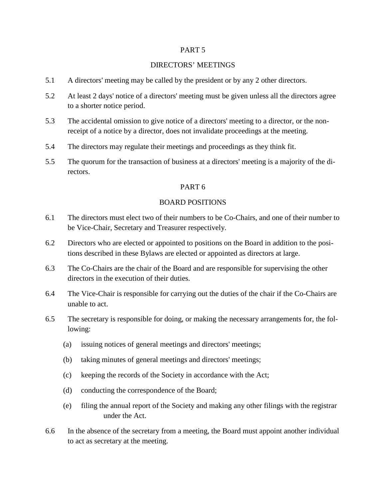### DIRECTORS' MEETINGS

- 5.1 A directors' meeting may be called by the president or by any 2 other directors.
- 5.2 At least 2 days' notice of a directors' meeting must be given unless all the directors agree to a shorter notice period.
- 5.3 The accidental omission to give notice of a directors' meeting to a director, or the nonreceipt of a notice by a director, does not invalidate proceedings at the meeting.
- 5.4 The directors may regulate their meetings and proceedings as they think fit.
- 5.5 The quorum for the transaction of business at a directors' meeting is a majority of the directors.

#### PART 6

#### BOARD POSITIONS

- 6.1 The directors must elect two of their numbers to be Co-Chairs, and one of their number to be Vice-Chair, Secretary and Treasurer respectively.
- 6.2 Directors who are elected or appointed to positions on the Board in addition to the positions described in these Bylaws are elected or appointed as directors at large.
- 6.3 The Co-Chairs are the chair of the Board and are responsible for supervising the other directors in the execution of their duties.
- 6.4 The Vice-Chair is responsible for carrying out the duties of the chair if the Co-Chairs are unable to act.
- 6.5 The secretary is responsible for doing, or making the necessary arrangements for, the following:
	- (a) issuing notices of general meetings and directors' meetings;
	- (b) taking minutes of general meetings and directors' meetings;
	- (c) keeping the records of the Society in accordance with the Act;
	- (d) conducting the correspondence of the Board;
	- (e) filing the annual report of the Society and making any other filings with the registrar under the Act.
- 6.6 In the absence of the secretary from a meeting, the Board must appoint another individual to act as secretary at the meeting.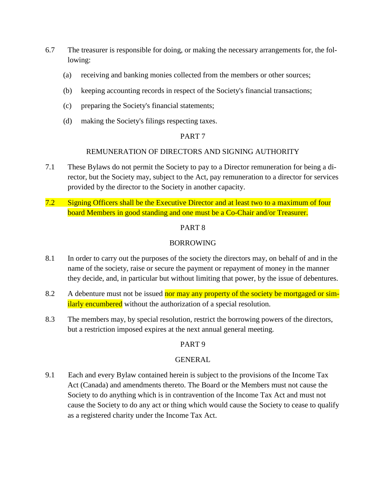- 6.7 The treasurer is responsible for doing, or making the necessary arrangements for, the following:
	- (a) receiving and banking monies collected from the members or other sources;
	- (b) keeping accounting records in respect of the Society's financial transactions;
	- (c) preparing the Society's financial statements;
	- (d) making the Society's filings respecting taxes.

### REMUNERATION OF DIRECTORS AND SIGNING AUTHORITY

- 7.1 These Bylaws do not permit the Society to pay to a Director remuneration for being a director, but the Society may, subject to the Act, pay remuneration to a director for services provided by the director to the Society in another capacity.
- 7.2 Signing Officers shall be the Executive Director and at least two to a maximum of four board Members in good standing and one must be a Co-Chair and/or Treasurer.

### PART 8

### BORROWING

- 8.1 In order to carry out the purposes of the society the directors may, on behalf of and in the name of the society, raise or secure the payment or repayment of money in the manner they decide, and, in particular but without limiting that power, by the issue of debentures.
- 8.2 A debenture must not be issued nor may any property of the society be mortgaged or similarly encumbered without the authorization of a special resolution.
- 8.3 The members may, by special resolution, restrict the borrowing powers of the directors, but a restriction imposed expires at the next annual general meeting.

### PART 9

### GENERAL

9.1 Each and every Bylaw contained herein is subject to the provisions of the Income Tax Act (Canada) and amendments thereto. The Board or the Members must not cause the Society to do anything which is in contravention of the Income Tax Act and must not cause the Society to do any act or thing which would cause the Society to cease to qualify as a registered charity under the Income Tax Act.